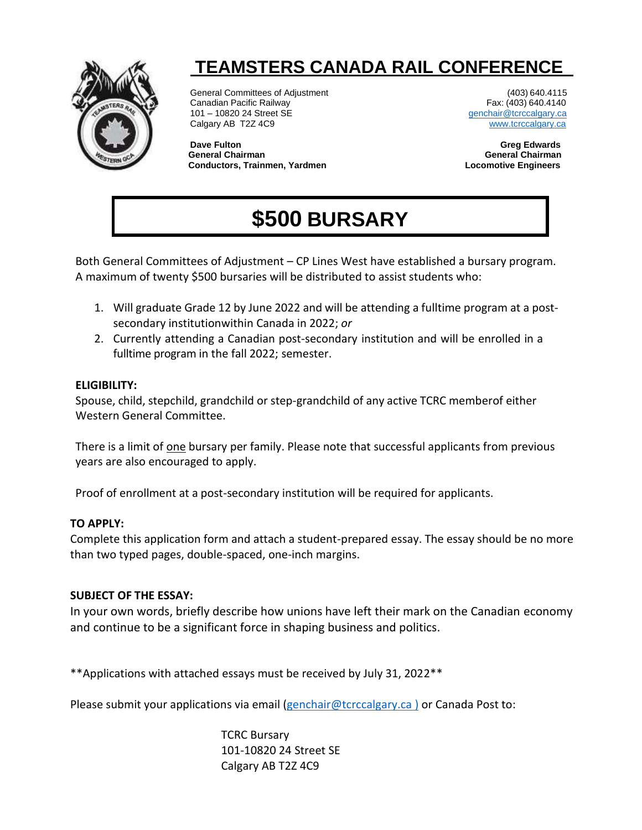

## **TEAMSTERS CANADA RAIL CONFERENCE**

General Committees of Adjustment (403) 640.4115<br>Canadian Pacific Railway (403) 640.4140 Canadian Pacific Railway 101 – 10820 24 Street SE [genchair@tcrccalgary.ca](mailto:genchair@tcrccalgary.ca) Calgary AB T2Z 4C9 [www.tcrccalgary.ca](http://www.tcrccalgary.ca/)

**Dave Fulton Greg Edwards General Chairman Conductors, Trainmen, Yardmen Locomotive Engineers**

# **\$500 BURSARY**

Both General Committees of Adjustment – CP Lines West have established a bursary program. A maximum of twenty \$500 bursaries will be distributed to assist students who:

- 1. Will graduate Grade 12 by June 2022 and will be attending a fulltime program at a postsecondary institutionwithin Canada in 2022; *or*
- 2. Currently attending a Canadian post-secondary institution and will be enrolled in a fulltime program in the fall 2022; semester.

#### **ELIGIBILITY:**

Spouse, child, stepchild, grandchild or step-grandchild of any active TCRC memberof either Western General Committee.

There is a limit of one bursary per family. Please note that successful applicants from previous years are also encouraged to apply.

Proof of enrollment at a post-secondary institution will be required for applicants.

#### **TO APPLY:**

Complete this application form and attach a student-prepared essay. The essay should be no more than two typed pages, double-spaced, one-inch margins.

### **SUBJECT OF THE ESSAY:**

In your own words, briefly describe how unions have left their mark on the Canadian economy and continue to be a significant force in shaping business and politics.

\*\*Applications with attached essays must be received by July 31, 2022\*\*

Please submit your applications via email [\(genchair@tcrccalgary.ca](mailto:genchair@tcrccalgary.ca) ) or Canada Post to:

TCRC Bursary 101-10820 24 Street SE Calgary AB T2Z 4C9